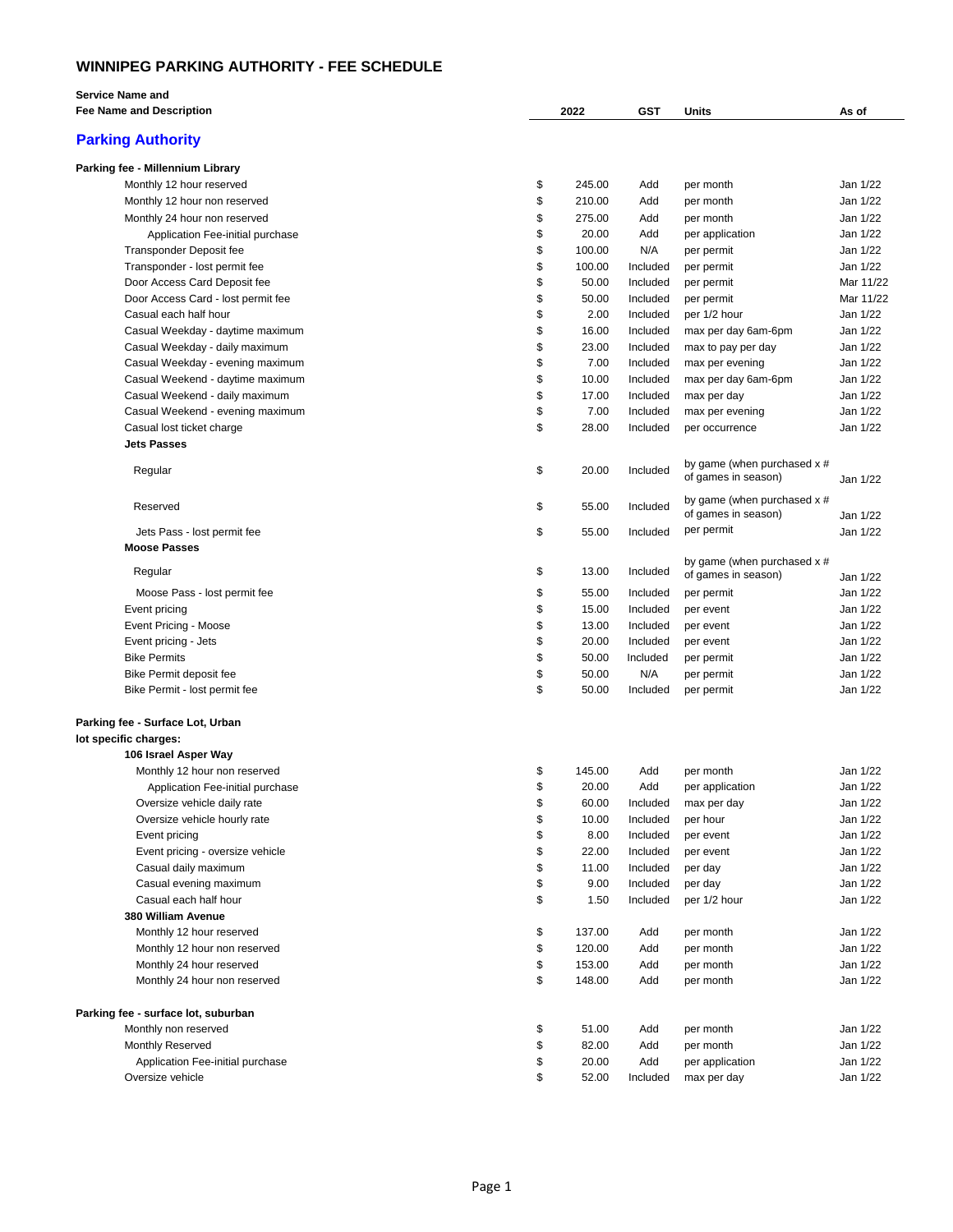## **WINNIPEG PARKING AUTHORITY - FEE SCHEDULE**

| <b>Service Name and</b>             |                    |        |          |                                                    |           |
|-------------------------------------|--------------------|--------|----------|----------------------------------------------------|-----------|
| <b>Fee Name and Description</b>     | 2022<br><b>GST</b> |        |          | Units                                              | As of     |
| <b>Parking Authority</b>            |                    |        |          |                                                    |           |
| Parking fee - Millennium Library    |                    |        |          |                                                    |           |
| Monthly 12 hour reserved            | \$                 | 245.00 | Add      | per month                                          | Jan 1/22  |
| Monthly 12 hour non reserved        | \$                 | 210.00 | Add      | per month                                          | Jan 1/22  |
| Monthly 24 hour non reserved        | \$                 | 275.00 | Add      | per month                                          | Jan 1/22  |
| Application Fee-initial purchase    | \$                 | 20.00  | Add      | per application                                    | Jan 1/22  |
| Transponder Deposit fee             | \$                 | 100.00 | N/A      | per permit                                         | Jan 1/22  |
| Transponder - lost permit fee       | \$                 | 100.00 | Included | per permit                                         | Jan 1/22  |
| Door Access Card Deposit fee        | \$                 | 50.00  | Included | per permit                                         | Mar 11/22 |
| Door Access Card - lost permit fee  | \$                 | 50.00  | Included | per permit                                         | Mar 11/22 |
| Casual each half hour               | \$                 | 2.00   | Included | per 1/2 hour                                       | Jan 1/22  |
| Casual Weekday - daytime maximum    | \$                 | 16.00  | Included | max per day 6am-6pm                                | Jan 1/22  |
| Casual Weekday - daily maximum      | \$                 | 23.00  | Included | max to pay per day                                 | Jan 1/22  |
| Casual Weekday - evening maximum    | \$                 | 7.00   | Included | max per evening                                    | Jan 1/22  |
| Casual Weekend - daytime maximum    | \$                 | 10.00  | Included | max per day 6am-6pm                                | Jan 1/22  |
| Casual Weekend - daily maximum      | \$                 | 17.00  | Included | max per day                                        | Jan 1/22  |
| Casual Weekend - evening maximum    | \$                 | 7.00   | Included | max per evening                                    | Jan 1/22  |
| Casual lost ticket charge           | \$                 | 28.00  | Included | per occurrence                                     | Jan 1/22  |
| <b>Jets Passes</b>                  |                    |        |          |                                                    |           |
| Regular                             | \$                 | 20.00  | Included | by game (when purchased x #<br>of games in season) | Jan 1/22  |
| Reserved                            | \$                 | 55.00  | Included | by game (when purchased x #<br>of games in season) | Jan 1/22  |
| Jets Pass - lost permit fee         | \$                 | 55.00  | Included | per permit                                         | Jan 1/22  |
| <b>Moose Passes</b>                 |                    |        |          |                                                    |           |
| Regular                             | \$                 | 13.00  | Included | by game (when purchased x #<br>of games in season) | Jan 1/22  |
| Moose Pass - lost permit fee        | \$                 | 55.00  | Included | per permit                                         | Jan 1/22  |
| Event pricing                       | \$                 | 15.00  | Included | per event                                          | Jan 1/22  |
| Event Pricing - Moose               | \$                 | 13.00  | Included | per event                                          | Jan 1/22  |
| Event pricing - Jets                | \$                 | 20.00  | Included | per event                                          | Jan 1/22  |
| <b>Bike Permits</b>                 | \$                 | 50.00  | Included | per permit                                         | Jan 1/22  |
| Bike Permit deposit fee             | \$                 | 50.00  | N/A      | per permit                                         | Jan 1/22  |
| Bike Permit - lost permit fee       | \$                 | 50.00  | Included | per permit                                         | Jan 1/22  |
| Parking fee - Surface Lot, Urban    |                    |        |          |                                                    |           |
| lot specific charges:               |                    |        |          |                                                    |           |
| 106 Israel Asper Way                |                    |        |          |                                                    |           |
| Monthly 12 hour non reserved        | \$                 | 145.00 | Add      | per month                                          | Jan 1/22  |
| Application Fee-initial purchase    | \$                 | 20.00  | Add      | per application                                    | Jan 1/22  |
| Oversize vehicle daily rate         | \$                 | 60.00  | Included | max per day                                        | Jan 1/22  |
| Oversize vehicle hourly rate        | \$                 | 10.00  | Included | per hour                                           | Jan 1/22  |
| Event pricing                       | \$                 | 8.00   | Included | per event                                          | Jan 1/22  |
| Event pricing - oversize vehicle    | \$                 | 22.00  | Included | per event                                          | Jan 1/22  |
| Casual daily maximum                | \$                 | 11.00  | Included | per day                                            | Jan 1/22  |
| Casual evening maximum              | \$                 | 9.00   | Included | per day                                            | Jan 1/22  |
| Casual each half hour               | \$                 | 1.50   | Included | per 1/2 hour                                       | Jan 1/22  |
| 380 William Avenue                  |                    |        |          |                                                    |           |
| Monthly 12 hour reserved            | \$                 | 137.00 | Add      | per month                                          | Jan 1/22  |
| Monthly 12 hour non reserved        | \$                 | 120.00 | Add      | per month                                          | Jan 1/22  |
| Monthly 24 hour reserved            | \$                 | 153.00 | Add      | per month                                          | Jan 1/22  |
| Monthly 24 hour non reserved        | \$                 | 148.00 | Add      | per month                                          | Jan 1/22  |
| Parking fee - surface lot, suburban |                    |        |          |                                                    |           |
| Monthly non reserved                | \$                 | 51.00  | Add      | per month                                          | Jan 1/22  |
| <b>Monthly Reserved</b>             | \$                 | 82.00  | Add      | per month                                          | Jan 1/22  |
| Application Fee-initial purchase    | \$                 | 20.00  | Add      | per application                                    | Jan 1/22  |
| Oversize vehicle                    | \$                 | 52.00  | Included | max per day                                        | Jan 1/22  |

÷.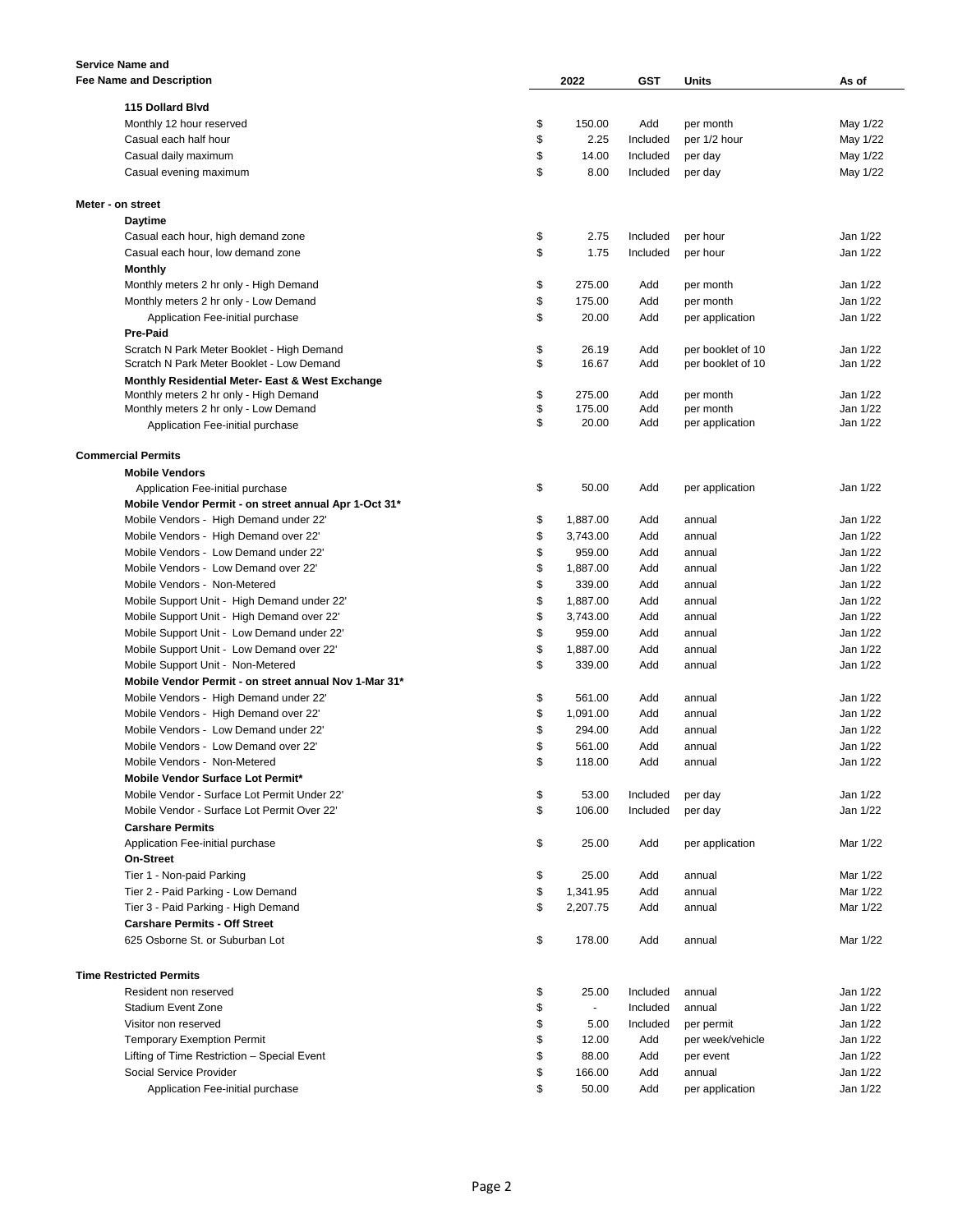| Service Name and                                           |          |                 |            |                                |                      |
|------------------------------------------------------------|----------|-----------------|------------|--------------------------------|----------------------|
| <b>Fee Name and Description</b>                            |          | 2022            | GST        | Units                          | As of                |
| 115 Dollard Blvd                                           |          |                 |            |                                |                      |
| Monthly 12 hour reserved                                   | \$       | 150.00          | Add        | per month                      | May 1/22             |
| Casual each half hour                                      | \$       | 2.25            | Included   | per 1/2 hour                   | May 1/22             |
| Casual daily maximum                                       | \$       | 14.00           | Included   | per day                        | May 1/22             |
| Casual evening maximum                                     | \$       | 8.00            | Included   | per day                        | May 1/22             |
|                                                            |          |                 |            |                                |                      |
| Meter - on street                                          |          |                 |            |                                |                      |
| <b>Daytime</b>                                             |          |                 |            |                                |                      |
| Casual each hour, high demand zone                         | \$       | 2.75            | Included   | per hour                       | Jan 1/22             |
| Casual each hour, low demand zone                          | \$       | 1.75            | Included   | per hour                       | Jan 1/22             |
| Monthly                                                    |          |                 |            |                                |                      |
| Monthly meters 2 hr only - High Demand                     | \$       | 275.00          | Add        | per month                      | Jan 1/22             |
| Monthly meters 2 hr only - Low Demand                      | \$       | 175.00          | Add        | per month                      | Jan 1/22             |
| Application Fee-initial purchase                           | \$       | 20.00           | Add        | per application                | Jan 1/22             |
| Pre-Paid                                                   |          |                 |            |                                |                      |
| Scratch N Park Meter Booklet - High Demand                 | \$       | 26.19           | Add        | per booklet of 10              | Jan 1/22             |
| Scratch N Park Meter Booklet - Low Demand                  | \$       | 16.67           | Add        | per booklet of 10              | Jan 1/22             |
| <b>Monthly Residential Meter- East &amp; West Exchange</b> |          |                 |            |                                |                      |
| Monthly meters 2 hr only - High Demand                     | \$       | 275.00          | Add        | per month                      | Jan 1/22             |
| Monthly meters 2 hr only - Low Demand                      | \$<br>\$ | 175.00<br>20.00 | Add<br>Add | per month                      | Jan 1/22<br>Jan 1/22 |
| Application Fee-initial purchase                           |          |                 |            | per application                |                      |
| <b>Commercial Permits</b>                                  |          |                 |            |                                |                      |
| <b>Mobile Vendors</b>                                      |          |                 |            |                                |                      |
| Application Fee-initial purchase                           | \$       | 50.00           | Add        | per application                | Jan 1/22             |
| Mobile Vendor Permit - on street annual Apr 1-Oct 31*      |          |                 |            |                                |                      |
| Mobile Vendors - High Demand under 22'                     | \$       | 1,887.00        | Add        | annual                         | Jan 1/22             |
| Mobile Vendors - High Demand over 22'                      | \$       | 3,743.00        | Add        | annual                         | Jan 1/22             |
| Mobile Vendors - Low Demand under 22'                      | \$       | 959.00          | Add        | annual                         | Jan 1/22             |
| Mobile Vendors - Low Demand over 22'                       | \$       | 1,887.00        | Add        | annual                         | Jan 1/22             |
| Mobile Vendors - Non-Metered                               | \$       | 339.00          | Add        | annual                         | Jan 1/22             |
| Mobile Support Unit - High Demand under 22'                | \$       | 1,887.00        | Add        | annual                         | Jan 1/22             |
| Mobile Support Unit - High Demand over 22'                 | \$       | 3,743.00        | Add        | annual                         | Jan 1/22             |
| Mobile Support Unit - Low Demand under 22'                 | \$       | 959.00          | Add        | annual                         | Jan 1/22             |
| Mobile Support Unit - Low Demand over 22'                  | \$       | 1,887.00        | Add        | annual                         | Jan 1/22             |
| Mobile Support Unit - Non-Metered                          | \$       | 339.00          | Add        | annual                         | Jan 1/22             |
| Mobile Vendor Permit - on street annual Nov 1-Mar 31*      |          |                 |            |                                |                      |
| Mobile Vendors - High Demand under 22'                     | \$       | 561.00          | Add        | annual                         | Jan 1/22             |
| Mobile Vendors - High Demand over 22'                      | \$       | 1,091.00        | Add        | annual                         | Jan 1/22             |
| Mobile Vendors - Low Demand under 22'                      | \$       | 294.00          | Add        | annual                         | Jan 1/22             |
| Mobile Vendors - Low Demand over 22'                       | \$       | 561.00          | Add        | annual                         | Jan 1/22             |
| Mobile Vendors - Non-Metered                               | \$       | 118.00          | Add        | annual                         | Jan 1/22             |
| Mobile Vendor Surface Lot Permit*                          |          |                 |            |                                |                      |
| Mobile Vendor - Surface Lot Permit Under 22'               | \$       | 53.00           | Included   | per day                        | Jan 1/22             |
| Mobile Vendor - Surface Lot Permit Over 22'                | \$       | 106.00          | Included   | per day                        | Jan 1/22             |
| <b>Carshare Permits</b>                                    |          |                 |            |                                |                      |
| Application Fee-initial purchase                           | \$       | 25.00           | Add        | per application                | Mar 1/22             |
| On-Street                                                  |          |                 |            |                                |                      |
| Tier 1 - Non-paid Parking                                  | \$       | 25.00           | Add        | annual                         | Mar 1/22             |
| Tier 2 - Paid Parking - Low Demand                         | \$       | 1,341.95        | Add        | annual                         | Mar 1/22             |
| Tier 3 - Paid Parking - High Demand                        | \$       | 2,207.75        | Add        | annual                         | Mar 1/22             |
| <b>Carshare Permits - Off Street</b>                       |          |                 |            |                                |                      |
| 625 Osborne St. or Suburban Lot                            | \$       | 178.00          | Add        | annual                         | Mar 1/22             |
| <b>Time Restricted Permits</b>                             |          |                 |            |                                |                      |
| Resident non reserved                                      | \$       | 25.00           | Included   | annual                         | Jan 1/22             |
| <b>Stadium Event Zone</b>                                  | \$       | $\blacksquare$  | Included   | annual                         | Jan 1/22             |
| Visitor non reserved                                       | \$       | 5.00            | Included   |                                | Jan 1/22             |
| <b>Temporary Exemption Permit</b>                          | \$       | 12.00           | Add        | per permit<br>per week/vehicle | Jan 1/22             |
| Lifting of Time Restriction - Special Event                | \$       | 88.00           | Add        | per event                      | Jan 1/22             |
| Social Service Provider                                    | \$       | 166.00          | Add        | annual                         | Jan 1/22             |
| Application Fee-initial purchase                           | \$       | 50.00           | Add        | per application                | Jan 1/22             |
|                                                            |          |                 |            |                                |                      |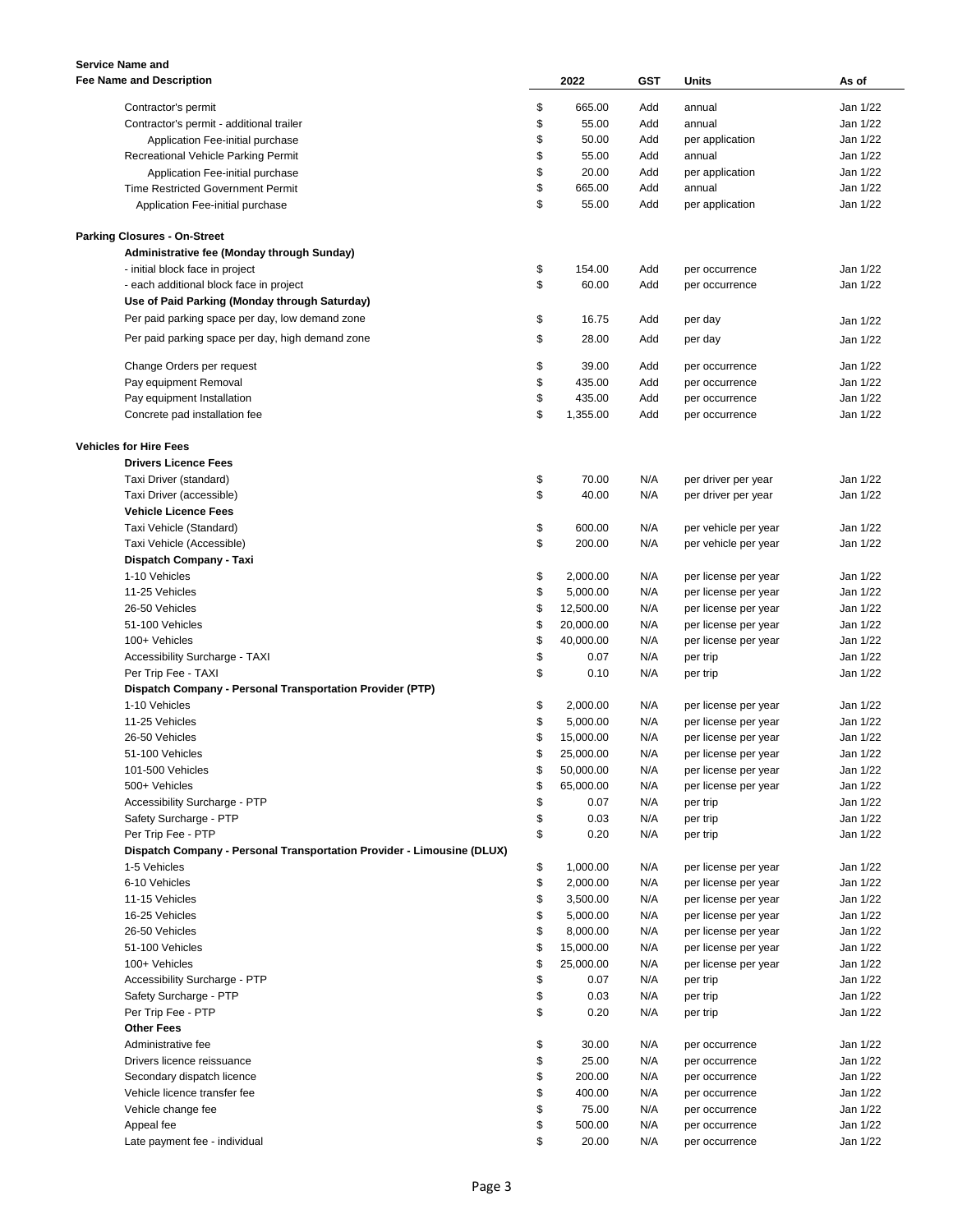| <b>Service Name and</b>                                                |                 |            |                      |          |
|------------------------------------------------------------------------|-----------------|------------|----------------------|----------|
| <b>Fee Name and Description</b>                                        | 2022            | <b>GST</b> | Units                | As of    |
|                                                                        |                 |            |                      |          |
| Contractor's permit                                                    | \$<br>665.00    | Add        | annual               | Jan 1/22 |
| Contractor's permit - additional trailer                               | \$<br>55.00     | Add        | annual               | Jan 1/22 |
| Application Fee-initial purchase                                       | \$<br>50.00     | Add        | per application      | Jan 1/22 |
| Recreational Vehicle Parking Permit                                    | \$<br>55.00     | Add        | annual               | Jan 1/22 |
| Application Fee-initial purchase                                       | \$<br>20.00     | Add        | per application      | Jan 1/22 |
| <b>Time Restricted Government Permit</b>                               | \$<br>665.00    | Add        | annual               | Jan 1/22 |
| Application Fee-initial purchase                                       | \$<br>55.00     | Add        | per application      | Jan 1/22 |
|                                                                        |                 |            |                      |          |
| <b>Parking Closures - On-Street</b>                                    |                 |            |                      |          |
| Administrative fee (Monday through Sunday)                             |                 |            |                      |          |
|                                                                        | \$<br>154.00    | Add        |                      | Jan 1/22 |
| - initial block face in project                                        | \$<br>60.00     |            | per occurrence       | Jan 1/22 |
| - each additional block face in project                                |                 | Add        | per occurrence       |          |
| Use of Paid Parking (Monday through Saturday)                          |                 |            |                      |          |
| Per paid parking space per day, low demand zone                        | \$<br>16.75     | Add        | per day              | Jan 1/22 |
| Per paid parking space per day, high demand zone                       | \$<br>28.00     | Add        | per day              | Jan 1/22 |
|                                                                        |                 |            |                      |          |
| Change Orders per request                                              | \$<br>39.00     | Add        | per occurrence       | Jan 1/22 |
| Pay equipment Removal                                                  | \$<br>435.00    | Add        | per occurrence       | Jan 1/22 |
| Pay equipment Installation                                             | \$<br>435.00    | Add        | per occurrence       | Jan 1/22 |
| Concrete pad installation fee                                          | \$<br>1,355.00  | Add        | per occurrence       | Jan 1/22 |
|                                                                        |                 |            |                      |          |
| <b>Vehicles for Hire Fees</b>                                          |                 |            |                      |          |
| <b>Drivers Licence Fees</b>                                            |                 |            |                      |          |
| Taxi Driver (standard)                                                 | \$<br>70.00     | N/A        | per driver per year  | Jan 1/22 |
| Taxi Driver (accessible)                                               | \$<br>40.00     | N/A        | per driver per year  | Jan 1/22 |
|                                                                        |                 |            |                      |          |
| <b>Vehicle Licence Fees</b>                                            |                 |            |                      |          |
| Taxi Vehicle (Standard)                                                | \$<br>600.00    | N/A        | per vehicle per year | Jan 1/22 |
| Taxi Vehicle (Accessible)                                              | \$<br>200.00    | N/A        | per vehicle per year | Jan 1/22 |
| Dispatch Company - Taxi                                                |                 |            |                      |          |
| 1-10 Vehicles                                                          | \$<br>2,000.00  | N/A        | per license per year | Jan 1/22 |
| 11-25 Vehicles                                                         | \$<br>5,000.00  | N/A        | per license per year | Jan 1/22 |
| 26-50 Vehicles                                                         | \$<br>12,500.00 | N/A        | per license per year | Jan 1/22 |
| 51-100 Vehicles                                                        | \$<br>20,000.00 | N/A        | per license per year | Jan 1/22 |
| 100+ Vehicles                                                          | \$<br>40,000.00 | N/A        | per license per year | Jan 1/22 |
| Accessibility Surcharge - TAXI                                         | \$<br>0.07      | N/A        | per trip             | Jan 1/22 |
| Per Trip Fee - TAXI                                                    | \$<br>0.10      | N/A        | per trip             | Jan 1/22 |
| Dispatch Company - Personal Transportation Provider (PTP)              |                 |            |                      |          |
| 1-10 Vehicles                                                          | \$<br>2,000.00  | N/A        | per license per year | Jan 1/22 |
| 11-25 Vehicles                                                         | \$<br>5,000.00  | N/A        | per license per year | Jan 1/22 |
| 26-50 Vehicles                                                         | \$<br>15,000.00 | N/A        | per license per year | Jan 1/22 |
|                                                                        |                 |            |                      |          |
| 51-100 Vehicles                                                        | \$<br>25,000.00 | N/A        | per license per year | Jan 1/22 |
| 101-500 Vehicles                                                       | \$<br>50,000.00 | N/A        | per license per year | Jan 1/22 |
| 500+ Vehicles                                                          | \$<br>65,000.00 | N/A        | per license per year | Jan 1/22 |
| Accessibility Surcharge - PTP                                          | \$<br>0.07      | N/A        | per trip             | Jan 1/22 |
| Safety Surcharge - PTP                                                 | \$<br>0.03      | N/A        | per trip             | Jan 1/22 |
| Per Trip Fee - PTP                                                     | \$<br>0.20      | N/A        | per trip             | Jan 1/22 |
| Dispatch Company - Personal Transportation Provider - Limousine (DLUX) |                 |            |                      |          |
| 1-5 Vehicles                                                           | \$<br>1,000.00  | N/A        | per license per year | Jan 1/22 |
| 6-10 Vehicles                                                          | \$<br>2,000.00  | N/A        | per license per year | Jan 1/22 |
| 11-15 Vehicles                                                         | \$<br>3,500.00  | N/A        | per license per year | Jan 1/22 |
| 16-25 Vehicles                                                         | \$<br>5,000.00  | N/A        | per license per year | Jan 1/22 |
| 26-50 Vehicles                                                         | \$<br>8,000.00  | N/A        | per license per year | Jan 1/22 |
| 51-100 Vehicles                                                        | \$<br>15,000.00 | N/A        | per license per year | Jan 1/22 |
|                                                                        |                 |            |                      |          |
| 100+ Vehicles                                                          | \$<br>25,000.00 | N/A        | per license per year | Jan 1/22 |
| Accessibility Surcharge - PTP                                          | \$<br>0.07      | N/A        | per trip             | Jan 1/22 |
| Safety Surcharge - PTP                                                 | \$<br>0.03      | N/A        | per trip             | Jan 1/22 |
| Per Trip Fee - PTP                                                     | \$<br>0.20      | N/A        | per trip             | Jan 1/22 |
| <b>Other Fees</b>                                                      |                 |            |                      |          |
| Administrative fee                                                     | \$<br>30.00     | N/A        | per occurrence       | Jan 1/22 |
| Drivers licence reissuance                                             | \$<br>25.00     | N/A        | per occurrence       | Jan 1/22 |
| Secondary dispatch licence                                             | \$<br>200.00    | N/A        | per occurrence       | Jan 1/22 |
| Vehicle licence transfer fee                                           | \$<br>400.00    | N/A        | per occurrence       | Jan 1/22 |
| Vehicle change fee                                                     | \$<br>75.00     | N/A        | per occurrence       | Jan 1/22 |
| Appeal fee                                                             | \$<br>500.00    | N/A        | per occurrence       | Jan 1/22 |
| Late payment fee - individual                                          | \$<br>20.00     | N/A        | per occurrence       | Jan 1/22 |
|                                                                        |                 |            |                      |          |